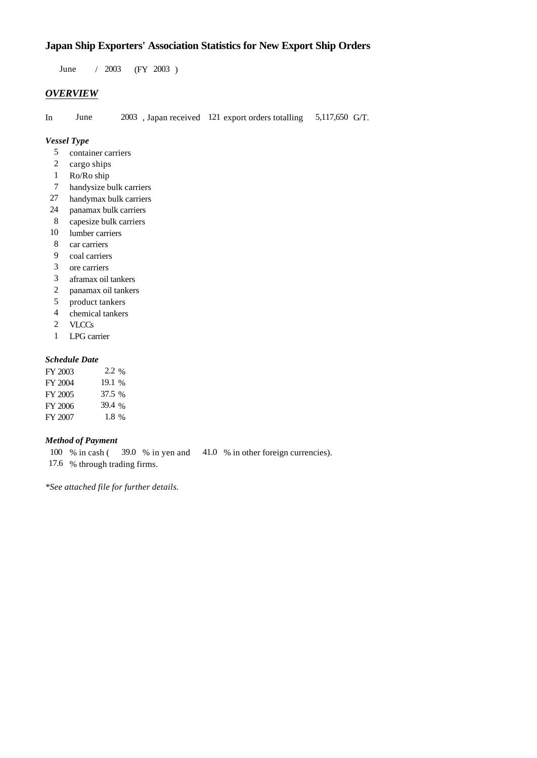# **Japan Ship Exporters' Association Statistics for New Export Ship Orders**

 $/ 2003$  (FY 2003) June / 2003

## *OVERVIEW*

In June  $2003$ , Japan received 121 export orders totalling 5,117,650 G/T.

### *Vessel Type*

- container carriers 5
- cargo ships 2
- Ro/Ro ship 1
- handysize bulk carriers 7
- handymax bulk carriers 27
- panamax bulk carriers 24
- capesize bulk carriers 8
- 10 lumber carriers
- car carriers 8
- coal carriers 9
- ore carriers 3
- aframax oil tankers 3
- panamax oil tankers 2
- product tankers 5
- chemical tankers 4
- **VLCCs** 2
- LPG carrier 1

## *Schedule Date*

| FY 2003 | 2.2 %   |
|---------|---------|
| FY 2004 | 19.1 %  |
| FY 2005 | 37.5 %  |
| FY 2006 | 39.4 %  |
| FY 2007 | $1.8\%$ |

## *Method of Payment*

 $41.0 \%$  in other foreign currencies). % through trading firms. 17.6 39.0 % in yen and 100 % in cash (

*\*See attached file for further details.*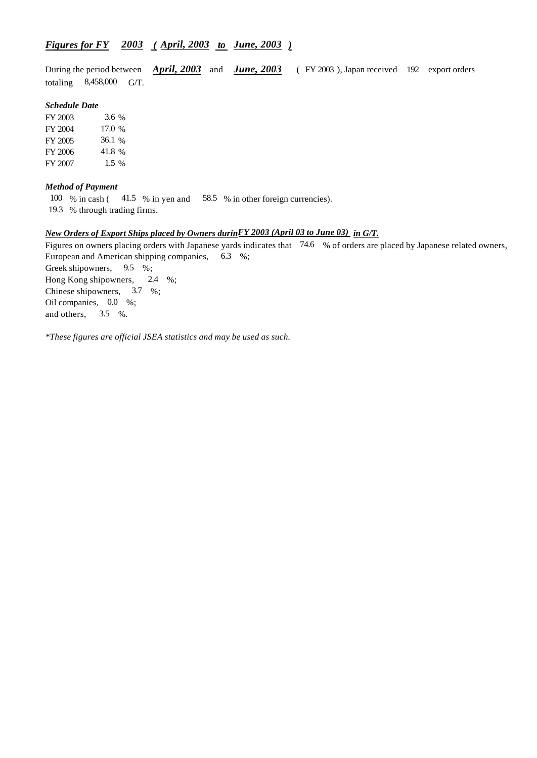# *Figures for FY* 2003 (April, 2003 *to June, 2003*)

During the period between *April, 2003* and *June, 2003* (FY 2003), Japan received 192 export orders totaling  $8,458,000$  G/T.

#### *Schedule Date*

FY 2003 FY 2004 FY 2005 FY 2006 FY 2007 17.0 % 36.1 41.8 1.5 % 3.6

#### *Method of Payment*

100 % in cash (41.5 % in yen and 58.5 % in other foreign currencies).

% through trading firms. 19.3

#### *New Orders of Export Ships placed by Owners during in G/T. FY 2003 (April 03 to June 03)*

Figures on owners placing orders with Japanese yards indicates that 74.6 % of orders are placed by Japanese related owners, European and American shipping companies,  $6.3\%$ ; Greek shipowners,  $9.5\%$ ; Hong Kong shipowners,  $2.4\%$ ; Chinese shipowners,  $3.7\%$ ; Oil companies,  $0.0\%$ ; and others,  $3.5\%$ .

*\*These figures are official JSEA statistics and may be used as such.*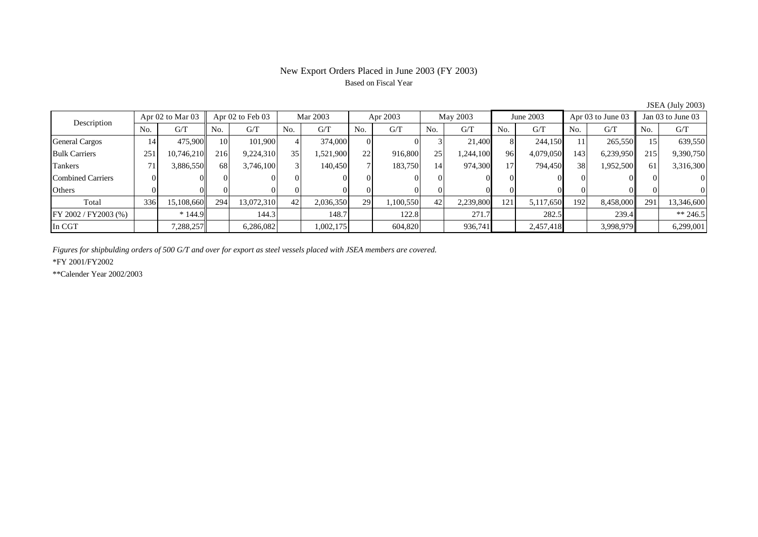# New Export Orders Placed in June 2003 (FY 2003) Based on Fiscal Year

| 50011110017200007        |                      |            |     |                  |     |           |          |           |     |           |     |           |     |                   |     |                   |  |
|--------------------------|----------------------|------------|-----|------------------|-----|-----------|----------|-----------|-----|-----------|-----|-----------|-----|-------------------|-----|-------------------|--|
| Description              | Apr $02$ to Mar $03$ |            |     | Apr 02 to Feb 03 |     | Mar 2003  |          | Apr 2003  |     | May 2003  |     | June 2003 |     | Apr 03 to June 03 |     | Jan 03 to June 03 |  |
|                          | No.                  | G/T        | No. | G/T              | No. | G/T       | No.      | G/T       | No. | G/T       | No. | G/T       | No. | G/T               | No. | G/T               |  |
| <b>General Cargos</b>    | 14                   | 475,900    | 10  | 101.900          |     | 374,000   | $\Omega$ |           |     | 21,400    |     | 244,150   | 11  | 265,550           | 15  | 639,550           |  |
| <b>Bulk Carriers</b>     | 251                  | 10,746,210 | 216 | 9,224,310        | 35  | 1,521,900 | 22       | 916,800   | 251 | 1,244,100 | 96  | 4,079,050 | 143 | 6,239,950         | 215 | 9,390,750         |  |
| Tankers                  |                      | 3,886,550  | 68  | 3,746,100        |     | 140,450   |          | 183,750   | 14' | 974,300   | 17  | 794,450   | 38  | 1,952,500         | 61  | 3,316,300         |  |
| <b>Combined Carriers</b> |                      |            |     |                  | 01  |           |          |           |     |           |     |           |     |                   |     | $\Omega$          |  |
| Others                   |                      |            |     |                  |     |           |          |           |     |           |     |           |     |                   |     | $\Omega$          |  |
| Total                    | 336                  | 15,108,660 | 294 | 13,072,310       | 42  | 2,036,350 | 29       | 1,100,550 | 42  | 2,239,800 | 121 | 5,117,650 | 192 | 8,458,000         | 291 | 13,346,600        |  |
| FY 2002 / FY2003 (%)     |                      | $*144.9$   |     | 144.3            |     | 148.7     |          | 122.8     |     | 271.7     |     | 282.5     |     | 239.4             |     | ** 246.5          |  |
| In CGT                   |                      | 7,288,257  |     | 6,286,082        |     | 1,002,175 |          | 604,820   |     | 936,741   |     | 2,457,418 |     | 3,998,979         |     | 6,299,001         |  |

 $JSEA$  (July 2003)

*Figures for shipbulding orders of 500 G/T and over for export as steel vessels placed with JSEA members are covered.*

\*FY 2001/FY2002

\*\*Calender Year 2002/2003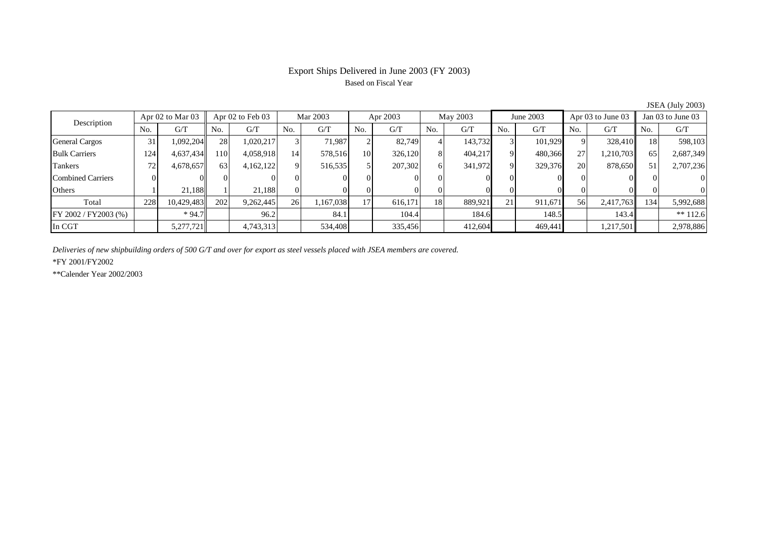# Export Ships Delivered in June 2003 (FY 2003) Based on Fiscal Year

| $50.111$ ( $5.011$ ) $-0.000$ |                      |            |           |                  |                 |           |                 |          |     |          |     |           |                |                   |                 |                   |  |
|-------------------------------|----------------------|------------|-----------|------------------|-----------------|-----------|-----------------|----------|-----|----------|-----|-----------|----------------|-------------------|-----------------|-------------------|--|
| Description                   | Apr $02$ to Mar $03$ |            |           | Apr 02 to Feb 03 |                 | Mar 2003  |                 | Apr 2003 |     | May 2003 |     | June 2003 |                | Apr 03 to June 03 |                 | Jan 03 to June 03 |  |
|                               | No.                  | G/T        | No.       | G/T              | No.             | G/T       | No.             | G/T      | No. | G/T      | No. | G/T       | N <sub>o</sub> | G/T               | No.             | G/T               |  |
| <b>General Cargos</b>         | 31                   | 1,092,204  | <b>28</b> | 1,020,217        |                 | 71.987    |                 | 82.749   |     | 143,732  |     | 101.929   | 9              | 328,410           | 18 <sub>l</sub> | 598,103           |  |
| <b>Bulk Carriers</b>          | 124                  | 4,637,434  | 1101      | 4,058,918        | 14 <sub>1</sub> | 578,516   | 10              | 326,120  |     | 404,217  |     | 480,366   | 27             | 1,210,703         | 65              | 2,687,349         |  |
| Tankers                       | 72                   | 4,678,657  | 63        | 4,162,122        | ΩI              | 516,535   |                 | 207,302  | h.  | 341,972  | 9   | 329,376   | <b>20</b>      | 878,650           | 51              | 2,707,236         |  |
| <b>Combined Carriers</b>      |                      |            |           |                  |                 |           |                 |          |     |          |     |           |                |                   |                 | $\Omega$          |  |
| Others                        |                      | 21,188     |           | 21.188           | ΩI              |           |                 |          |     |          |     |           |                |                   |                 | $\Omega$          |  |
| Total                         | 228                  | 10,429,483 | 202       | 9,262,445        | 26              | 1,167,038 | 17 <sub>1</sub> | 616,171  | 18  | 889,921  | 21  | 911,671   | 56             | 2,417,763         | 134             | 5,992,688         |  |
| FY 2002 / FY2003 (%)          |                      | $*94.7$    |           | 96.2             |                 | 84.1      |                 | 104.4    |     | 184.6    |     | 148.5     |                | 143.4             |                 | $** 112.6$        |  |
| In CGT                        |                      | 5,277,721  |           | 4,743,313        |                 | 534,408   |                 | 335,456  |     | 412,604  |     | 469.441   |                | 1,217,501         |                 | 2,978,886         |  |

JSEA (July 2003)

*Deliveries of new shipbuilding orders of 500 G/T and over for export as steel vessels placed with JSEA members are covered.*

\*FY 2001/FY2002

\*\*Calender Year 2002/2003